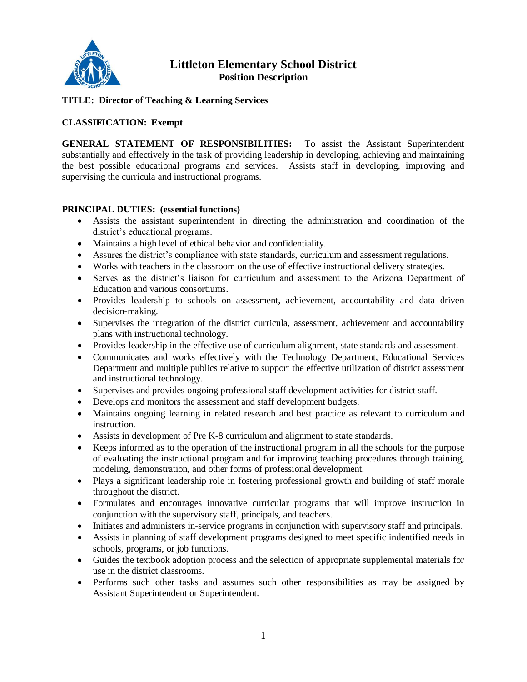

## **Littleton Elementary School District Position Description**

**TITLE: Director of Teaching & Learning Services**

## **CLASSIFICATION: Exempt**

**GENERAL STATEMENT OF RESPONSIBILITIES:** To assist the Assistant Superintendent substantially and effectively in the task of providing leadership in developing, achieving and maintaining the best possible educational programs and services. Assists staff in developing, improving and supervising the curricula and instructional programs.

## **PRINCIPAL DUTIES: (essential functions)**

- Assists the assistant superintendent in directing the administration and coordination of the district's educational programs.
- Maintains a high level of ethical behavior and confidentiality.
- Assures the district's compliance with state standards, curriculum and assessment regulations.
- Works with teachers in the classroom on the use of effective instructional delivery strategies.
- Serves as the district's liaison for curriculum and assessment to the Arizona Department of Education and various consortiums.
- Provides leadership to schools on assessment, achievement, accountability and data driven decision-making.
- Supervises the integration of the district curricula, assessment, achievement and accountability plans with instructional technology.
- Provides leadership in the effective use of curriculum alignment, state standards and assessment.
- Communicates and works effectively with the Technology Department, Educational Services Department and multiple publics relative to support the effective utilization of district assessment and instructional technology.
- Supervises and provides ongoing professional staff development activities for district staff.
- Develops and monitors the assessment and staff development budgets.
- Maintains ongoing learning in related research and best practice as relevant to curriculum and instruction.
- Assists in development of Pre K-8 curriculum and alignment to state standards.
- Keeps informed as to the operation of the instructional program in all the schools for the purpose of evaluating the instructional program and for improving teaching procedures through training, modeling, demonstration, and other forms of professional development.
- Plays a significant leadership role in fostering professional growth and building of staff morale throughout the district.
- Formulates and encourages innovative curricular programs that will improve instruction in conjunction with the supervisory staff, principals, and teachers.
- Initiates and administers in-service programs in conjunction with supervisory staff and principals.
- Assists in planning of staff development programs designed to meet specific indentified needs in schools, programs, or job functions.
- Guides the textbook adoption process and the selection of appropriate supplemental materials for use in the district classrooms.
- Performs such other tasks and assumes such other responsibilities as may be assigned by Assistant Superintendent or Superintendent.